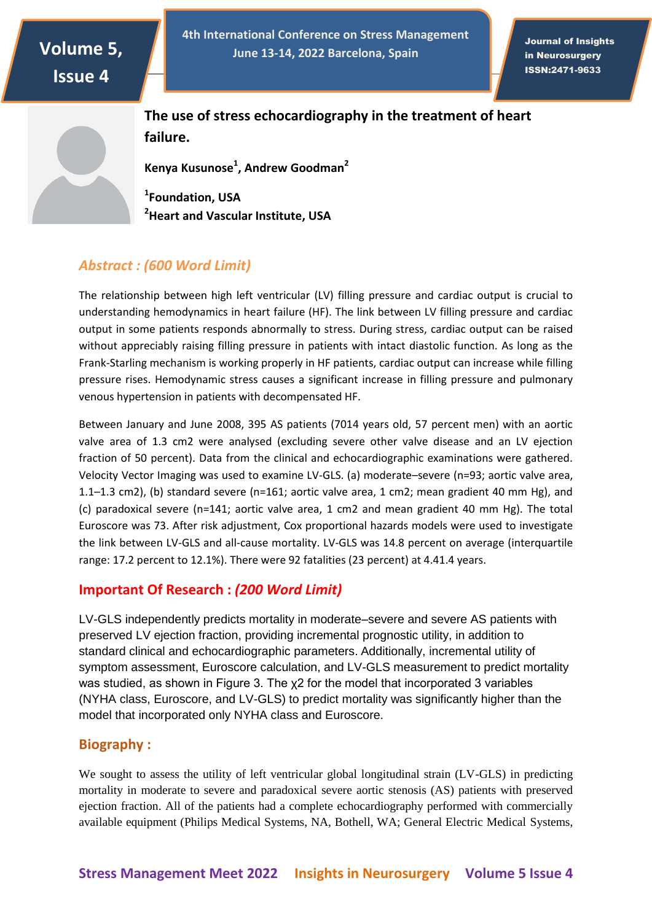# **Volume 5, Issue 4**

**4th International Conference on Stress Management June 13-14, 2022 Barcelona, Spain**

Journal of Insights in Neurosurgery ISSN:2471-9633

ISSN: 2471-9633

**The use of stress echocardiography in the treatment of heart failure.**

**Kenya Kusunose<sup>1</sup> , Andrew Goodman<sup>2</sup>**

**1 Foundation, USA <sup>2</sup>Heart and Vascular Institute, USA**

### *Abstract : (600 Word Limit)*

The relationship between high left ventricular (LV) filling pressure and cardiac output is crucial to understanding hemodynamics in heart failure (HF). The link between LV filling pressure and cardiac output in some patients responds abnormally to stress. During stress, cardiac output can be raised without appreciably raising filling pressure in patients with intact diastolic function. As long as the Frank-Starling mechanism is working properly in HF patients, cardiac output can increase while filling pressure rises. Hemodynamic stress causes a significant increase in filling pressure and pulmonary venous hypertension in patients with decompensated HF.

Between January and June 2008, 395 AS patients (7014 years old, 57 percent men) with an aortic valve area of 1.3 cm2 were analysed (excluding severe other valve disease and an LV ejection fraction of 50 percent). Data from the clinical and echocardiographic examinations were gathered. Velocity Vector Imaging was used to examine LV-GLS. (a) moderate–severe (n=93; aortic valve area, 1.1–1.3 cm2), (b) standard severe (n=161; aortic valve area, 1 cm2; mean gradient 40 mm Hg), and (c) paradoxical severe (n=141; aortic valve area, 1 cm2 and mean gradient 40 mm Hg). The total Euroscore was 73. After risk adjustment, Cox proportional hazards models were used to investigate the link between LV-GLS and all-cause mortality. LV-GLS was 14.8 percent on average (interquartile range: 17.2 percent to 12.1%). There were 92 fatalities (23 percent) at 4.41.4 years.

#### **Important Of Research :** *(200 Word Limit)*

LV-GLS independently predicts mortality in moderate–severe and severe AS patients with preserved LV ejection fraction, providing incremental prognostic utility, in addition to standard clinical and echocardiographic parameters. Additionally, incremental utility of symptom assessment, Euroscore calculation, and LV-GLS measurement to predict mortality was studied, as shown in Figure 3. The χ2 for the model that incorporated 3 variables (NYHA class, Euroscore, and LV-GLS) to predict mortality was significantly higher than the model that incorporated only NYHA class and Euroscore.

#### **Biography :**

We sought to assess the utility of left ventricular global longitudinal strain (LV-GLS) in predicting mortality in moderate to severe and paradoxical severe aortic stenosis (AS) patients with preserved ejection fraction. All of the patients had a complete echocardiography performed with commercially available equipment (Philips Medical Systems, NA, Bothell, WA; General Electric Medical Systems,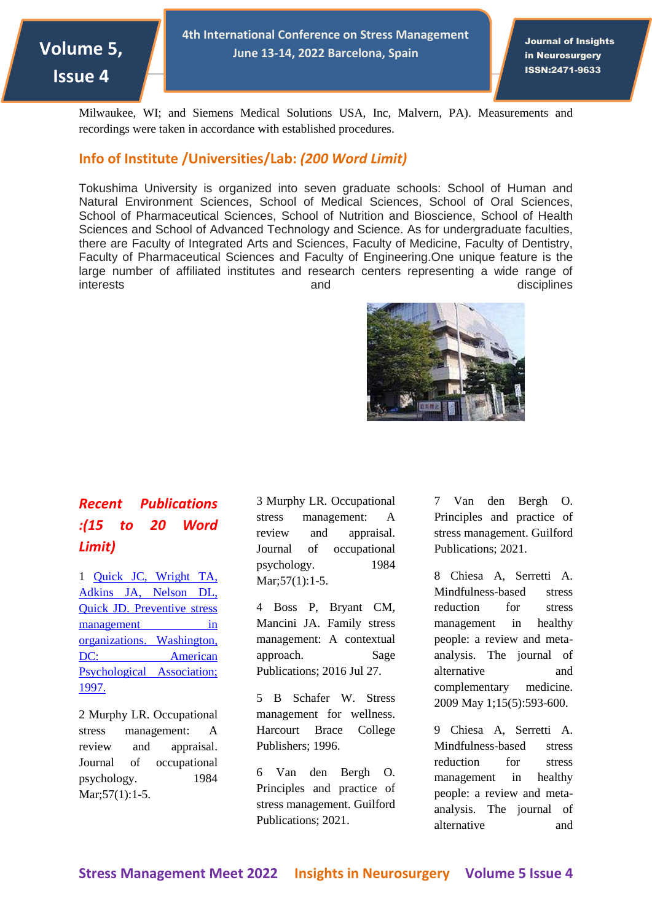

**4th International Conference on Stress Management June 13-14, 2022 Barcelona, Spain**

Journal of Insights in Neurosurgery ISSN:2471-9633

ISSN: 2471-9633

Milwaukee, WI; and Siemens Medical Solutions USA, Inc, Malvern, PA). Measurements and recordings were taken in accordance with established procedures.

#### **Info of Institute /Universities/Lab:** *(200 Word Limit)*

Tokushima University is organized into seven graduate schools: School of Human and Natural Environment Sciences, School of Medical Sciences, School of Oral Sciences, School of Pharmaceutical Sciences, School of Nutrition and Bioscience, School of Health Sciences and School of Advanced Technology and Science. As for undergraduate faculties, there are Faculty of Integrated Arts and Sciences, Faculty of Medicine, Faculty of Dentistry, Faculty of Pharmaceutical Sciences and Faculty of Engineering.One unique feature is the large number of affiliated institutes and research centers representing a wide range of interests and and disciplines



### *Recent Publications :(15 to 20 Word Limit)*

1 [Quick JC, Wright TA,](https://neurosurgery.imedpub.com/)  [Adkins JA, Nelson DL,](https://neurosurgery.imedpub.com/)  [Quick JD. Preventive stress](https://neurosurgery.imedpub.com/)  [management in](https://neurosurgery.imedpub.com/)  [organizations.](https://neurosurgery.imedpub.com/) Washington, DC: American [Psychological Association;](https://neurosurgery.imedpub.com/)  [1997.](https://neurosurgery.imedpub.com/)

2 Murphy LR. Occupational stress management: A review and appraisal. Journal of occupational psychology. 1984 Mar; 57(1): 1-5.

3 Murphy LR. Occupational stress management: A review and appraisal. Journal of occupational psychology. 1984 Mar; 57(1): 1-5.

4 Boss P, Bryant CM, Mancini JA. Family stress management: A contextual approach. Sage Publications; 2016 Jul 27.

5 B Schafer W. Stress management for wellness. Harcourt Brace College Publishers; 1996.

6 Van den Bergh O. Principles and practice of stress management. Guilford Publications; 2021.

7 Van den Bergh O. Principles and practice of stress management. Guilford Publications; 2021.

8 Chiesa A, Serretti A. Mindfulness-based stress reduction for stress management in healthy people: a review and metaanalysis. The journal of alternative and complementary medicine. 2009 May 1;15(5):593-600.

9 Chiesa A, Serretti A. Mindfulness-based stress reduction for stress management in healthy people: a review and metaanalysis. The journal of alternative and